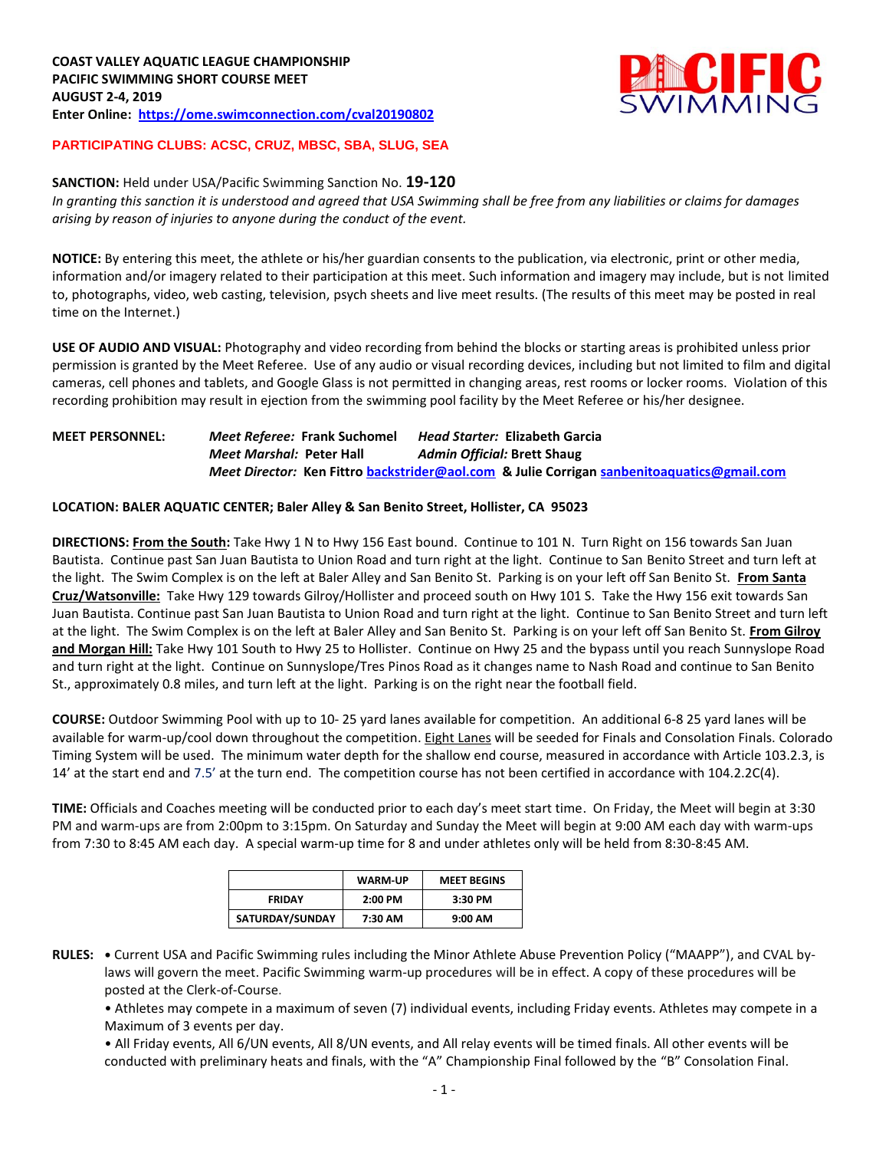

# **PARTICIPATING CLUBS: ACSC, CRUZ, MBSC, SBA, SLUG, SEA**

#### **SANCTION:** Held under USA/Pacific Swimming Sanction No. **19-120**

*In granting this sanction it is understood and agreed that USA Swimming shall be free from any liabilities or claims for damages arising by reason of injuries to anyone during the conduct of the event.*

**NOTICE:** By entering this meet, the athlete or his/her guardian consents to the publication, via electronic, print or other media, information and/or imagery related to their participation at this meet. Such information and imagery may include, but is not limited to, photographs, video, web casting, television, psych sheets and live meet results. (The results of this meet may be posted in real time on the Internet.)

**USE OF AUDIO AND VISUAL:** Photography and video recording from behind the blocks or starting areas is prohibited unless prior permission is granted by the Meet Referee. Use of any audio or visual recording devices, including but not limited to film and digital cameras, cell phones and tablets, and Google Glass is not permitted in changing areas, rest rooms or locker rooms. Violation of this recording prohibition may result in ejection from the swimming pool facility by the Meet Referee or his/her designee.

## **MEET PERSONNEL:** *Meet Referee:* **Frank Suchomel** *Head Starter:* **Elizabeth Garcia** *Meet Marshal:* **Peter Hall** *Admin Official:* **Brett Shaug** *Meet Director:* **Ken Fittr[o backstrider@aol.com](mailto:backstrider@aol.com) & Julie Corriga[n sanbenitoaquatics@gmail.com](mailto:sanbenitoaquatics@gmail.com)**

#### **LOCATION: BALER AQUATIC CENTER; Baler Alley & San Benito Street, Hollister, CA 95023**

**DIRECTIONS: From the South:** Take Hwy 1 N to Hwy 156 East bound. Continue to 101 N. Turn Right on 156 towards San Juan Bautista. Continue past San Juan Bautista to Union Road and turn right at the light. Continue to San Benito Street and turn left at the light. The Swim Complex is on the left at Baler Alley and San Benito St. Parking is on your left off San Benito St. **From Santa Cruz/Watsonville:** Take Hwy 129 towards Gilroy/Hollister and proceed south on Hwy 101 S. Take the Hwy 156 exit towards San Juan Bautista. Continue past San Juan Bautista to Union Road and turn right at the light. Continue to San Benito Street and turn left at the light. The Swim Complex is on the left at Baler Alley and San Benito St. Parking is on your left off San Benito St. **From Gilroy and Morgan Hill:** Take Hwy 101 South to Hwy 25 to Hollister. Continue on Hwy 25 and the bypass until you reach Sunnyslope Road and turn right at the light. Continue on Sunnyslope/Tres Pinos Road as it changes name to Nash Road and continue to San Benito St., approximately 0.8 miles, and turn left at the light. Parking is on the right near the football field.

**COURSE:** Outdoor Swimming Pool with up to 10- 25 yard lanes available for competition. An additional 6-8 25 yard lanes will be available for warm-up/cool down throughout the competition. Eight Lanes will be seeded for Finals and Consolation Finals. Colorado Timing System will be used. The minimum water depth for the shallow end course, measured in accordance with Article 103.2.3, is 14' at the start end and 7.5' at the turn end. The competition course has not been certified in accordance with 104.2.2C(4).

**TIME:** Officials and Coaches meeting will be conducted prior to each day's meet start time. On Friday, the Meet will begin at 3:30 PM and warm-ups are from 2:00pm to 3:15pm. On Saturday and Sunday the Meet will begin at 9:00 AM each day with warm-ups from 7:30 to 8:45 AM each day. A special warm-up time for 8 and under athletes only will be held from 8:30-8:45 AM.

|                 | <b>WARM-UP</b> | <b>MEET BEGINS</b> |
|-----------------|----------------|--------------------|
| <b>FRIDAY</b>   | $2:00$ PM      | 3:30 PM            |
| SATURDAY/SUNDAY | 7:30 AM        | 9:00 AM            |

**RULES: •** Current USA and Pacific Swimming rules including the Minor Athlete Abuse Prevention Policy ("MAAPP"), and CVAL bylaws will govern the meet. Pacific Swimming warm-up procedures will be in effect. A copy of these procedures will be posted at the Clerk-of-Course.

• Athletes may compete in a maximum of seven (7) individual events, including Friday events. Athletes may compete in a Maximum of 3 events per day.

• All Friday events, All 6/UN events, All 8/UN events, and All relay events will be timed finals. All other events will be conducted with preliminary heats and finals, with the "A" Championship Final followed by the "B" Consolation Final.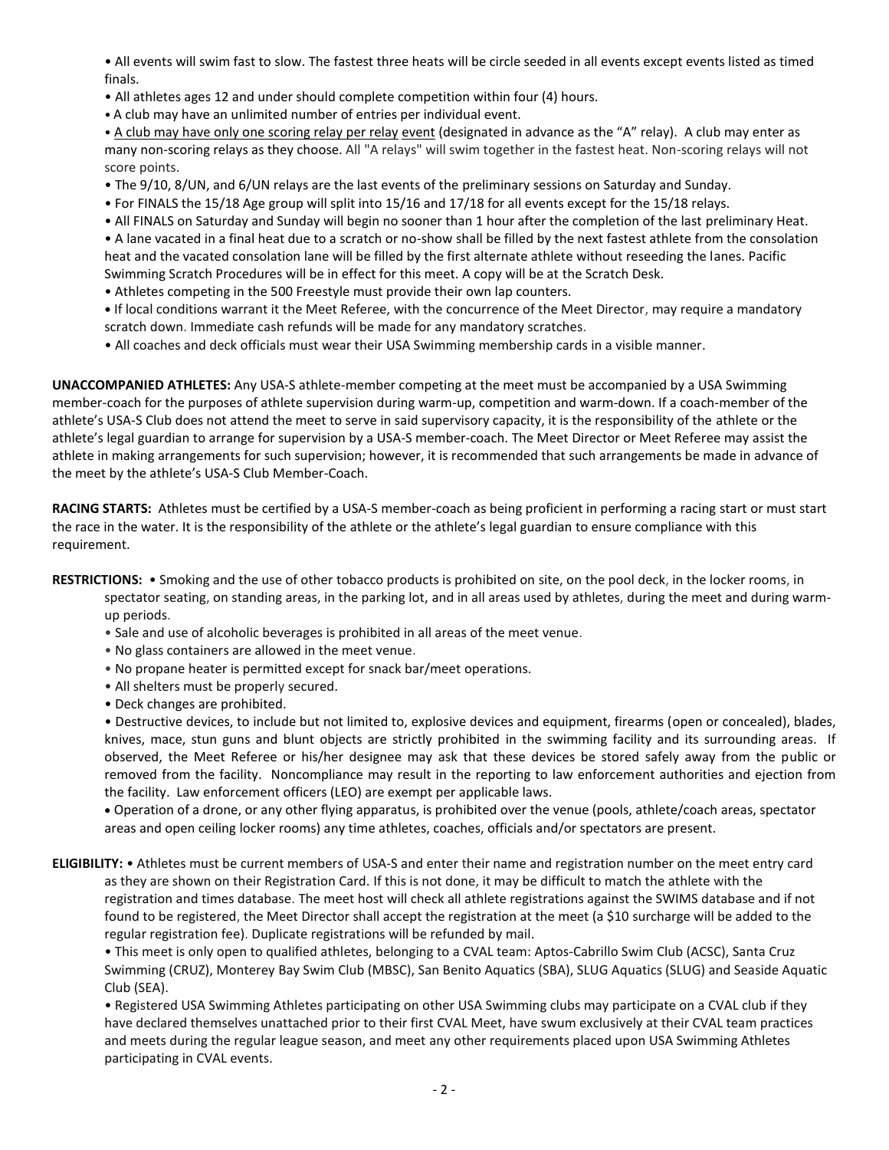• All events will swim fast to slow. The fastest three heats will be circle seeded in all events except events listed as timed finals.

• All athletes ages 12 and under should complete competition within four (4) hours.

• A club may have an unlimited number of entries per individual event.

• A club may have only one scoring relay per relay event (designated in advance as the "A" relay). A club may enter as many non-scoring relays as they choose. All "A relays" will swim together in the fastest heat. Non-scoring relays will not score points.

- The 9/10, 8/UN, and 6/UN relays are the last events of the preliminary sessions on Saturday and Sunday.
- For FINALS the 15/18 Age group will split into 15/16 and 17/18 for all events except for the 15/18 relays.

• All FINALS on Saturday and Sunday will begin no sooner than 1 hour after the completion of the last preliminary Heat. • A lane vacated in a final heat due to a scratch or no-show shall be filled by the next fastest athlete from the consolation heat and the vacated consolation lane will be filled by the first alternate athlete without reseeding the lanes. Pacific Swimming Scratch Procedures will be in effect for this meet. A copy will be at the Scratch Desk.

- Athletes competing in the 500 Freestyle must provide their own lap counters.
- **•** If local conditions warrant it the Meet Referee, with the concurrence of the Meet Director, may require a mandatory scratch down. Immediate cash refunds will be made for any mandatory scratches.
- All coaches and deck officials must wear their USA Swimming membership cards in a visible manner.

**UNACCOMPANIED ATHLETES:** Any USA-S athlete-member competing at the meet must be accompanied by a USA Swimming member-coach for the purposes of athlete supervision during warm-up, competition and warm-down. If a coach-member of the athlete's USA-S Club does not attend the meet to serve in said supervisory capacity, it is the responsibility of the athlete or the athlete's legal guardian to arrange for supervision by a USA-S member-coach. The Meet Director or Meet Referee may assist the athlete in making arrangements for such supervision; however, it is recommended that such arrangements be made in advance of the meet by the athlete's USA-S Club Member-Coach.

**RACING STARTS:** Athletes must be certified by a USA-S member-coach as being proficient in performing a racing start or must start the race in the water. It is the responsibility of the athlete or the athlete's legal guardian to ensure compliance with this requirement.

## **RESTRICTIONS:** • Smoking and the use of other tobacco products is prohibited on site, on the pool deck, in the locker rooms, in spectator seating, on standing areas, in the parking lot, and in all areas used by athletes, during the meet and during warmup periods.

- Sale and use of alcoholic beverages is prohibited in all areas of the meet venue.
- No glass containers are allowed in the meet venue.
- No propane heater is permitted except for snack bar/meet operations.
- All shelters must be properly secured.
- Deck changes are prohibited.

• Destructive devices, to include but not limited to, explosive devices and equipment, firearms (open or concealed), blades, knives, mace, stun guns and blunt objects are strictly prohibited in the swimming facility and its surrounding areas. If observed, the Meet Referee or his/her designee may ask that these devices be stored safely away from the public or removed from the facility. Noncompliance may result in the reporting to law enforcement authorities and ejection from the facility. Law enforcement officers (LEO) are exempt per applicable laws.

 Operation of a drone, or any other flying apparatus, is prohibited over the venue (pools, athlete/coach areas, spectator areas and open ceiling locker rooms) any time athletes, coaches, officials and/or spectators are present.

**ELIGIBILITY:** • Athletes must be current members of USA-S and enter their name and registration number on the meet entry card as they are shown on their Registration Card. If this is not done, it may be difficult to match the athlete with the registration and times database. The meet host will check all athlete registrations against the SWIMS database and if not found to be registered, the Meet Director shall accept the registration at the meet (a \$10 surcharge will be added to the regular registration fee). Duplicate registrations will be refunded by mail.

• This meet is only open to qualified athletes, belonging to a CVAL team: Aptos-Cabrillo Swim Club (ACSC), Santa Cruz Swimming (CRUZ), Monterey Bay Swim Club (MBSC), San Benito Aquatics (SBA), SLUG Aquatics (SLUG) and Seaside Aquatic Club (SEA).

• Registered USA Swimming Athletes participating on other USA Swimming clubs may participate on a CVAL club if they have declared themselves unattached prior to their first CVAL Meet, have swum exclusively at their CVAL team practices and meets during the regular league season, and meet any other requirements placed upon USA Swimming Athletes participating in CVAL events.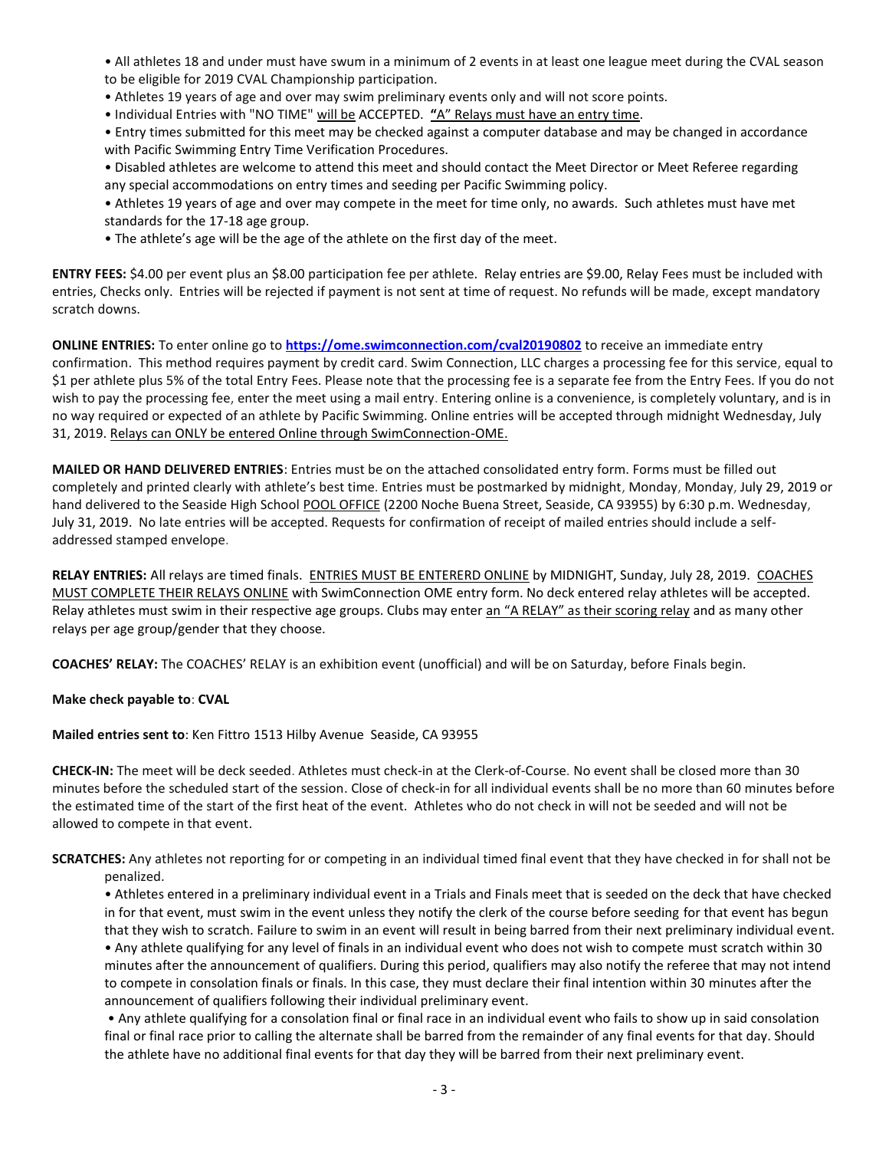• All athletes 18 and under must have swum in a minimum of 2 events in at least one league meet during the CVAL season to be eligible for 2019 CVAL Championship participation.

- Athletes 19 years of age and over may swim preliminary events only and will not score points.
- Individual Entries with "NO TIME" will be ACCEPTED. **"**A" Relays must have an entry time.

• Entry times submitted for this meet may be checked against a computer database and may be changed in accordance with Pacific Swimming Entry Time Verification Procedures.

• Disabled athletes are welcome to attend this meet and should contact the Meet Director or Meet Referee regarding any special accommodations on entry times and seeding per Pacific Swimming policy.

- Athletes 19 years of age and over may compete in the meet for time only, no awards. Such athletes must have met standards for the 17-18 age group.
- The athlete's age will be the age of the athlete on the first day of the meet.

**ENTRY FEES:** \$4.00 per event plus an \$8.00 participation fee per athlete. Relay entries are \$9.00, Relay Fees must be included with entries, Checks only. Entries will be rejected if payment is not sent at time of request. No refunds will be made, except mandatory scratch downs.

**ONLINE ENTRIES:** To enter online go to **<https://ome.swimconnection.com/cval20190802>** to receive an immediate entry confirmation. This method requires payment by credit card. Swim Connection, LLC charges a processing fee for this service, equal to \$1 per athlete plus 5% of the total Entry Fees. Please note that the processing fee is a separate fee from the Entry Fees. If you do not wish to pay the processing fee, enter the meet using a mail entry. Entering online is a convenience, is completely voluntary, and is in no way required or expected of an athlete by Pacific Swimming. Online entries will be accepted through midnight Wednesday, July 31, 2019. Relays can ONLY be entered Online through SwimConnection-OME.

**MAILED OR HAND DELIVERED ENTRIES**: Entries must be on the attached consolidated entry form. Forms must be filled out completely and printed clearly with athlete's best time. Entries must be postmarked by midnight, Monday, Monday, July 29, 2019 or hand delivered to the Seaside High School POOL OFFICE (2200 Noche Buena Street, Seaside, CA 93955) by 6:30 p.m. Wednesday, July 31, 2019. No late entries will be accepted. Requests for confirmation of receipt of mailed entries should include a selfaddressed stamped envelope.

**RELAY ENTRIES:** All relays are timed finals. ENTRIES MUST BE ENTERERD ONLINE by MIDNIGHT, Sunday, July 28, 2019. COACHES MUST COMPLETE THEIR RELAYS ONLINE with SwimConnection OME entry form. No deck entered relay athletes will be accepted. Relay athletes must swim in their respective age groups. Clubs may enter an "A RELAY" as their scoring relay and as many other relays per age group/gender that they choose.

**COACHES' RELAY:** The COACHES' RELAY is an exhibition event (unofficial) and will be on Saturday, before Finals begin.

#### **Make check payable to**: **CVAL**

#### **Mailed entries sent to**: Ken Fittro 1513 Hilby Avenue Seaside, CA 93955

**CHECK-IN:** The meet will be deck seeded. Athletes must check-in at the Clerk-of-Course. No event shall be closed more than 30 minutes before the scheduled start of the session. Close of check-in for all individual events shall be no more than 60 minutes before the estimated time of the start of the first heat of the event. Athletes who do not check in will not be seeded and will not be allowed to compete in that event.

**SCRATCHES:** Any athletes not reporting for or competing in an individual timed final event that they have checked in for shall not be penalized.

• Athletes entered in a preliminary individual event in a Trials and Finals meet that is seeded on the deck that have checked in for that event, must swim in the event unless they notify the clerk of the course before seeding for that event has begun that they wish to scratch. Failure to swim in an event will result in being barred from their next preliminary individual event. • Any athlete qualifying for any level of finals in an individual event who does not wish to compete must scratch within 30 minutes after the announcement of qualifiers. During this period, qualifiers may also notify the referee that may not intend to compete in consolation finals or finals. In this case, they must declare their final intention within 30 minutes after the announcement of qualifiers following their individual preliminary event.

• Any athlete qualifying for a consolation final or final race in an individual event who fails to show up in said consolation final or final race prior to calling the alternate shall be barred from the remainder of any final events for that day. Should the athlete have no additional final events for that day they will be barred from their next preliminary event.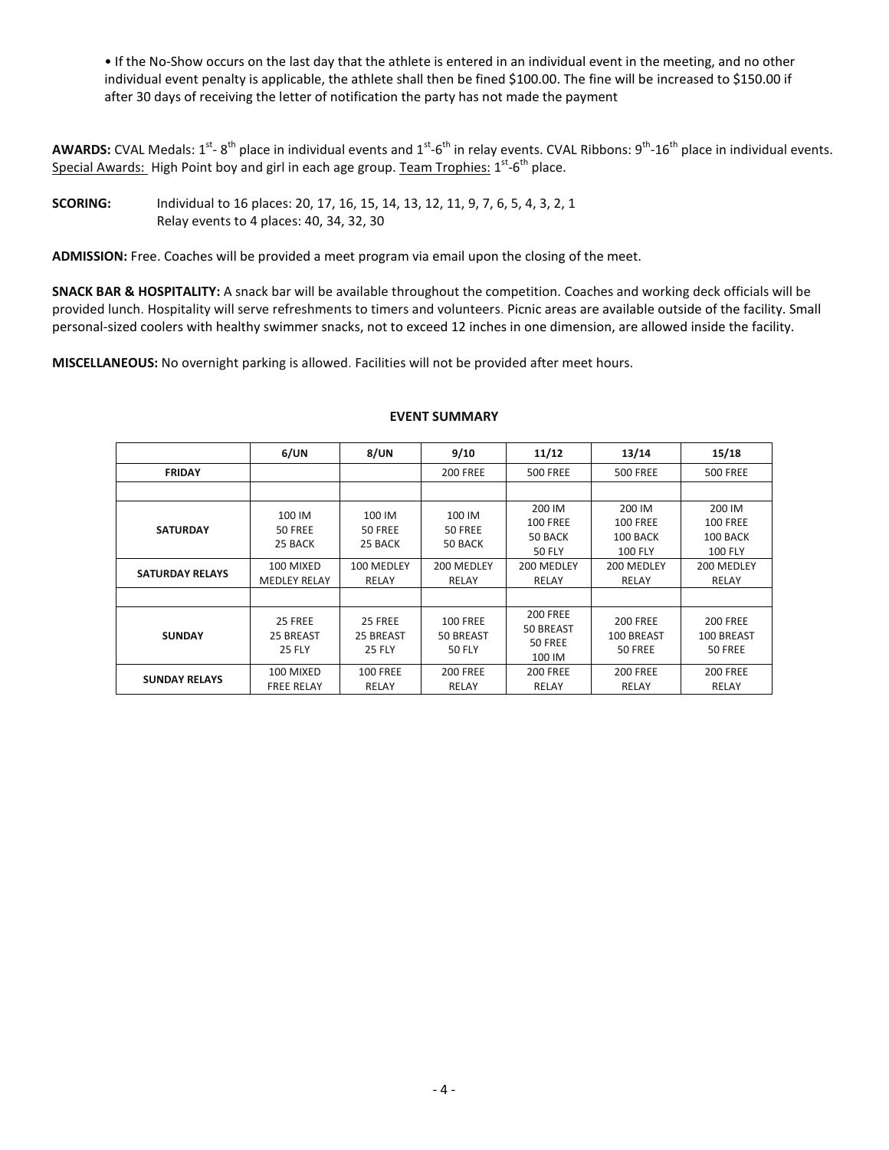• If the No-Show occurs on the last day that the athlete is entered in an individual event in the meeting, and no other individual event penalty is applicable, the athlete shall then be fined \$100.00. The fine will be increased to \$150.00 if after 30 days of receiving the letter of notification the party has not made the payment

AWARDS: CVAL Medals: 1<sup>st</sup>-8<sup>th</sup> place in individual events and 1<sup>st</sup>-6<sup>th</sup> in relay events. CVAL Ribbons: 9<sup>th</sup>-16<sup>th</sup> place in individual events. Special Awards: High Point boy and girl in each age group. Team Trophies: 1<sup>st</sup>-6<sup>th</sup> place.

**SCORING:** Individual to 16 places: 20, 17, 16, 15, 14, 13, 12, 11, 9, 7, 6, 5, 4, 3, 2, 1 Relay events to 4 places: 40, 34, 32, 30

**ADMISSION:** Free. Coaches will be provided a meet program via email upon the closing of the meet.

**SNACK BAR & HOSPITALITY:** A snack bar will be available throughout the competition. Coaches and working deck officials will be provided lunch. Hospitality will serve refreshments to timers and volunteers. Picnic areas are available outside of the facility. Small personal-sized coolers with healthy swimmer snacks, not to exceed 12 inches in one dimension, are allowed inside the facility.

**MISCELLANEOUS:** No overnight parking is allowed. Facilities will not be provided after meet hours.

|                                           | 6/UN                                                             | 8/UN                                                | 9/10                                                | 11/12                                                                        | 13/14                                                                          | 15/18                                                                          |
|-------------------------------------------|------------------------------------------------------------------|-----------------------------------------------------|-----------------------------------------------------|------------------------------------------------------------------------------|--------------------------------------------------------------------------------|--------------------------------------------------------------------------------|
| <b>FRIDAY</b>                             |                                                                  |                                                     | <b>200 FREE</b>                                     | <b>500 FREE</b>                                                              | <b>500 FREE</b>                                                                | <b>500 FREE</b>                                                                |
|                                           |                                                                  |                                                     |                                                     |                                                                              |                                                                                |                                                                                |
| <b>SATURDAY</b><br><b>SATURDAY RELAYS</b> | 100 IM<br>50 FREE<br>25 BACK<br>100 MIXED<br><b>MEDLEY RELAY</b> | 100 IM<br>50 FREE<br>25 BACK<br>100 MEDLEY<br>RELAY | 100 IM<br>50 FREE<br>50 BACK<br>200 MEDLEY<br>RELAY | 200 IM<br><b>100 FREE</b><br>50 BACK<br><b>50 FLY</b><br>200 MEDLEY<br>RELAY | 200 IM<br><b>100 FREE</b><br>100 BACK<br><b>100 FLY</b><br>200 MEDLEY<br>RELAY | 200 IM<br><b>100 FREE</b><br>100 BACK<br><b>100 FLY</b><br>200 MEDLEY<br>RELAY |
|                                           |                                                                  |                                                     |                                                     |                                                                              |                                                                                |                                                                                |
| <b>SUNDAY</b>                             | 25 FREE<br>25 BREAST<br><b>25 FLY</b>                            | 25 FREE<br>25 BREAST<br><b>25 FLY</b>               | <b>100 FREE</b><br>50 BREAST<br><b>50 FLY</b>       | <b>200 FREE</b><br>50 BREAST<br><b>50 FREE</b><br>100 IM                     | <b>200 FREE</b><br>100 BREAST<br>50 FREE                                       | <b>200 FREE</b><br>100 BREAST<br>50 FREE                                       |
| <b>SUNDAY RELAYS</b>                      | 100 MIXED<br><b>FREE RELAY</b>                                   | <b>100 FREE</b><br>RELAY                            | <b>200 FREE</b><br>RELAY                            | <b>200 FREE</b><br>RELAY                                                     | <b>200 FREE</b><br>RELAY                                                       | <b>200 FREE</b><br>RELAY                                                       |

#### **EVENT SUMMARY**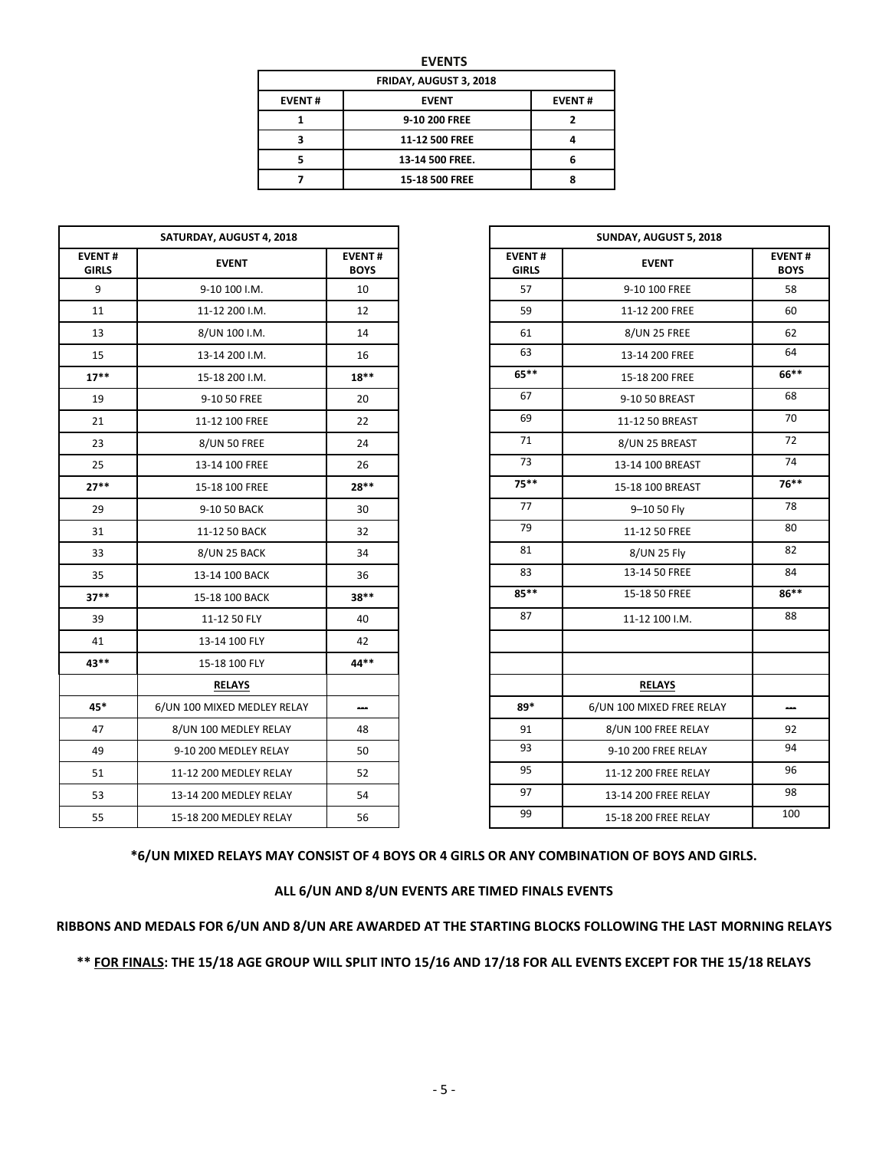| ×<br>۰, |
|---------|
|---------|

| FRIDAY, AUGUST 3, 2018 |                 |  |  |  |  |  |  |
|------------------------|-----------------|--|--|--|--|--|--|
| <b>EVENT#</b>          | <b>EVENT#</b>   |  |  |  |  |  |  |
|                        | 9-10 200 FREE   |  |  |  |  |  |  |
|                        | 11-12 500 FREE  |  |  |  |  |  |  |
|                        | 13-14 500 FREE. |  |  |  |  |  |  |
|                        | 15-18 500 FREE  |  |  |  |  |  |  |

|                               | SATURDAY, AUGUST 4, 2018    |                              |                               | SUNDAY, AUGUST 5, 2018    |                           |  |  |
|-------------------------------|-----------------------------|------------------------------|-------------------------------|---------------------------|---------------------------|--|--|
| <b>EVENT#</b><br><b>GIRLS</b> | <b>EVENT</b>                | <b>EVENT#</b><br><b>BOYS</b> | <b>EVENT#</b><br><b>GIRLS</b> | <b>EVENT</b>              | <b>EVEN</b><br><b>BOY</b> |  |  |
| 9                             | 9-10 100 I.M.               | 10                           | 57                            | 9-10 100 FREE             | 58                        |  |  |
| 11                            | 11-12 200 I.M.              | 12                           | 59                            | 11-12 200 FREE            | 60                        |  |  |
| 13                            | 8/UN 100 I.M.               | 14                           | 61                            | <b>8/UN 25 FREE</b>       | 62                        |  |  |
| 15                            | 13-14 200 I.M.              | 16                           | 63                            | 13-14 200 FREE            | 64                        |  |  |
| $17***$                       | 15-18 200 I.M.              | $18***$                      | $65***$                       | 15-18 200 FREE            | 66*                       |  |  |
| 19                            | 9-10 50 FREE                | 20                           | 67                            | 9-10 50 BREAST            | 68                        |  |  |
| 21                            | 11-12 100 FREE              | 22                           | 69                            | 11-12 50 BREAST           | 70                        |  |  |
| 23                            | <b>8/UN 50 FREE</b>         | 24                           | 71                            | 8/UN 25 BREAST            | 72                        |  |  |
| 25                            | 13-14 100 FREE              | 26                           | 73                            | 13-14 100 BREAST          | 74                        |  |  |
| $27**$                        | 15-18 100 FREE              | $28**$                       | $75***$                       | 15-18 100 BREAST          | 76*                       |  |  |
| 29                            | 9-10 50 BACK                | 30                           | 77                            | 9-10 50 Fly               | 78                        |  |  |
| 31                            | 11-12 50 BACK               | 32                           | 79                            | 11-12 50 FREE             | 80                        |  |  |
| 33                            | 8/UN 25 BACK                | 34                           | 81                            | 8/UN 25 Fly               | 82                        |  |  |
| 35                            | 13-14 100 BACK              | 36                           | 83                            | 13-14 50 FREE             | 84                        |  |  |
| $37**$                        | 15-18 100 BACK              | 38**                         | 85**                          | 15-18 50 FREE             | 86*                       |  |  |
| 39                            | 11-12 50 FLY                | 40                           | 87                            | 11-12 100 I.M.            | 88                        |  |  |
| 41                            | 13-14 100 FLY               | 42                           |                               |                           |                           |  |  |
| $43**$                        | 15-18 100 FLY               | $44**$                       |                               |                           |                           |  |  |
|                               | <b>RELAYS</b>               |                              |                               | <b>RELAYS</b>             |                           |  |  |
| 45*                           | 6/UN 100 MIXED MEDLEY RELAY | --                           | 89*                           | 6/UN 100 MIXED FREE RELAY | --                        |  |  |
| 47                            | 8/UN 100 MEDLEY RELAY       | 48                           | 91                            | 8/UN 100 FREE RELAY       | 92                        |  |  |
| 49                            | 9-10 200 MEDLEY RELAY       | 50                           | 93                            | 9-10 200 FREE RELAY       | 94                        |  |  |
| 51                            | 11-12 200 MEDLEY RELAY      | 52                           | 95                            | 11-12 200 FREE RELAY      | 96                        |  |  |
| 53                            | 13-14 200 MEDLEY RELAY      | 54                           | 97                            | 13-14 200 FREE RELAY      | 98                        |  |  |
| 55                            | 15-18 200 MEDLEY RELAY      | 56                           | 99                            | 15-18 200 FREE RELAY      | 10                        |  |  |
|                               |                             |                              |                               |                           |                           |  |  |

|                       | SATURDAY, AUGUST 4, 2018    |                              |                               | SUNDAY, AUGUST 5, 2018    |                              |  |  |
|-----------------------|-----------------------------|------------------------------|-------------------------------|---------------------------|------------------------------|--|--|
| <b>/ENT#</b><br>GIRLS | <b>EVENT</b>                | <b>EVENT#</b><br><b>BOYS</b> | <b>EVENT#</b><br><b>GIRLS</b> | <b>EVENT</b>              | <b>EVENT#</b><br><b>BOYS</b> |  |  |
| 9                     | 9-10 100 I.M.               | 10                           | 57                            | 9-10 100 FREE             | 58                           |  |  |
| 11                    | 11-12 200 I.M.              | 12                           | 59                            | 11-12 200 FREE            | 60                           |  |  |
| 13                    | 8/UN 100 I.M.               | 14                           | 61                            | <b>8/UN 25 FREE</b>       | 62                           |  |  |
| 15                    | 13-14 200 I.M.              | 16                           | 63                            | 13-14 200 FREE            | 64                           |  |  |
| $17***$               | 15-18 200 I.M.              | $18**$                       | $65***$                       | 15-18 200 FREE            | 66**                         |  |  |
| 19                    | 9-10 50 FREE                | 20                           | 67                            | 9-10 50 BREAST            | 68                           |  |  |
| 21                    | 11-12 100 FREE              | 22                           | 69                            | 11-12 50 BREAST           | 70                           |  |  |
| 23                    | <b>8/UN 50 FREE</b>         | 24                           | 71                            | 8/UN 25 BREAST            | 72                           |  |  |
| 25                    | 13-14 100 FREE              | 26                           | 73                            | 13-14 100 BREAST          | 74                           |  |  |
| $27**$                | 15-18 100 FREE              | $28**$                       | $75***$                       | 15-18 100 BREAST          | $76***$                      |  |  |
| 29                    | 9-10 50 BACK                | 30                           | 77                            | 9-10 50 Fly               | 78                           |  |  |
| 31                    | 11-12 50 BACK               | 32                           | 79                            | 11-12 50 FREE             | 80                           |  |  |
| 33                    | 8/UN 25 BACK                | 34                           | 81                            | 8/UN 25 Fly               | 82                           |  |  |
| 35                    | 13-14 100 BACK              | 36                           | 83                            | 13-14 50 FREE             | 84                           |  |  |
| 37**                  | 15-18 100 BACK              | 38**                         | 85**                          | 15-18 50 FREE             | 86**                         |  |  |
| 39                    | 11-12 50 FLY                | 40                           | 87                            | 11-12 100 I.M.            | 88                           |  |  |
| 41                    | 13-14 100 FLY               | 42                           |                               |                           |                              |  |  |
| 43**                  | 15-18 100 FLY               | 44**                         |                               |                           |                              |  |  |
|                       | <b>RELAYS</b>               |                              |                               | <b>RELAYS</b>             |                              |  |  |
| 45*                   | 6/UN 100 MIXED MEDLEY RELAY |                              | 89*                           | 6/UN 100 MIXED FREE RELAY |                              |  |  |
| 47                    | 8/UN 100 MEDLEY RELAY       | 48                           | 91                            | 8/UN 100 FREE RELAY       | 92                           |  |  |
| 49                    | 9-10 200 MEDLEY RELAY       | 50                           | 93                            | 9-10 200 FREE RELAY       | 94                           |  |  |
| 51                    | 11-12 200 MEDLEY RELAY      | 52                           | 95                            | 11-12 200 FREE RELAY      | 96                           |  |  |
| 53                    | 13-14 200 MEDLEY RELAY      | 54                           | 97                            | 13-14 200 FREE RELAY      | 98                           |  |  |
| 55                    | 15-18 200 MEDLEY RELAY      | 56                           | 99                            | 15-18 200 FREE RELAY      | 100                          |  |  |

**\*6/UN MIXED RELAYS MAY CONSIST OF 4 BOYS OR 4 GIRLS OR ANY COMBINATION OF BOYS AND GIRLS.**

# **ALL 6/UN AND 8/UN EVENTS ARE TIMED FINALS EVENTS**

# **RIBBONS AND MEDALS FOR 6/UN AND 8/UN ARE AWARDED AT THE STARTING BLOCKS FOLLOWING THE LAST MORNING RELAYS**

**\*\* FOR FINALS: THE 15/18 AGE GROUP WILL SPLIT INTO 15/16 AND 17/18 FOR ALL EVENTS EXCEPT FOR THE 15/18 RELAYS**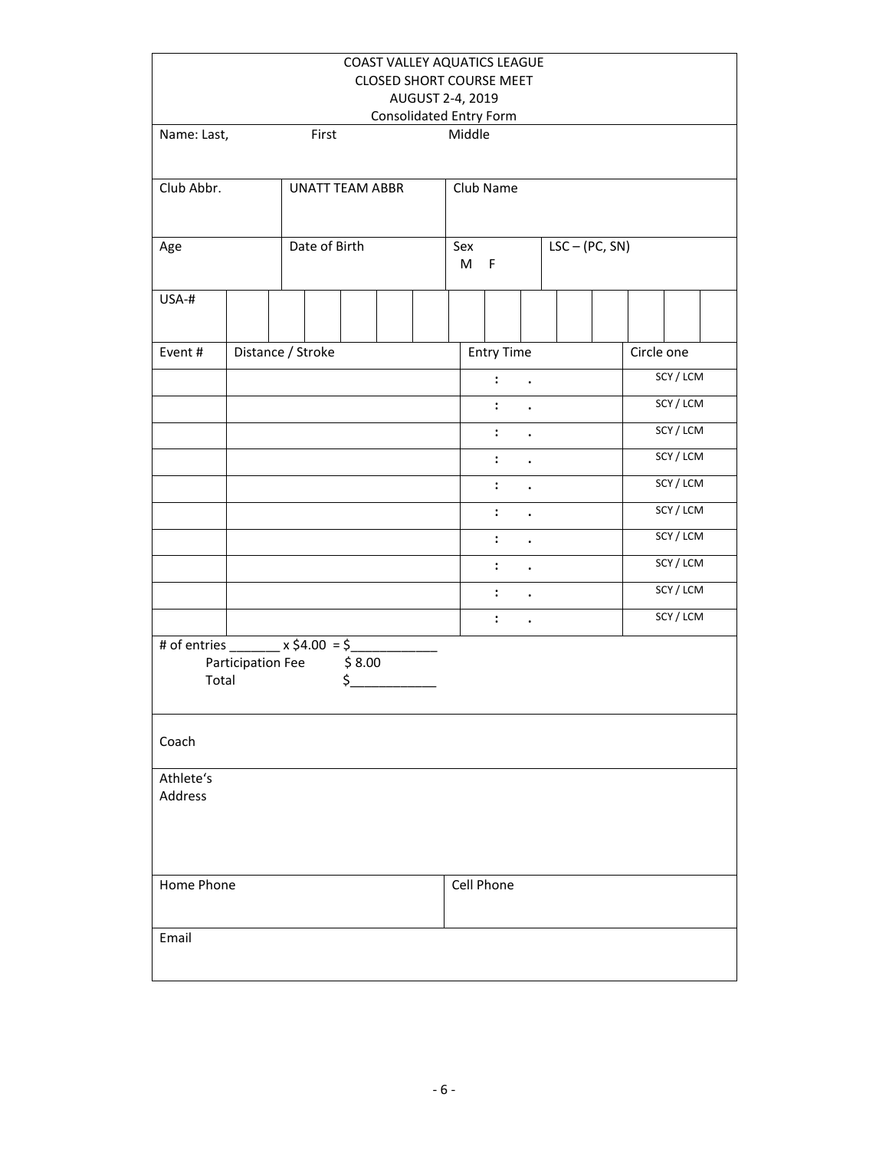|                                                     |                   |                        |              | COAST VALLEY AQUATICS LEAGUE<br><b>CLOSED SHORT COURSE MEET</b> |                  |                      |                      |                  |            |           |
|-----------------------------------------------------|-------------------|------------------------|--------------|-----------------------------------------------------------------|------------------|----------------------|----------------------|------------------|------------|-----------|
|                                                     |                   |                        |              |                                                                 | AUGUST 2-4, 2019 |                      |                      |                  |            |           |
|                                                     |                   |                        |              | Consolidated Entry Form                                         |                  |                      |                      |                  |            |           |
| Name: Last,                                         |                   | First                  |              |                                                                 | Middle           |                      |                      |                  |            |           |
| Club Abbr.                                          |                   | <b>UNATT TEAM ABBR</b> |              |                                                                 |                  | Club Name            |                      |                  |            |           |
| Age                                                 |                   | Date of Birth          |              |                                                                 | Sex<br>M         | F                    |                      | $LSC - (PC, SN)$ |            |           |
| USA-#                                               |                   |                        |              |                                                                 |                  |                      |                      |                  |            |           |
| Event#                                              |                   | Distance / Stroke      |              |                                                                 |                  | <b>Entry Time</b>    |                      |                  | Circle one |           |
|                                                     |                   |                        |              |                                                                 |                  | $\mathbf{1}$         |                      |                  |            | SCY / LCM |
|                                                     |                   |                        |              |                                                                 |                  | $\mathbf{1}$         |                      |                  |            | SCY / LCM |
|                                                     |                   |                        |              |                                                                 |                  | $\mathbf{L}$         | $\ddot{\phantom{a}}$ |                  |            | SCY/LCM   |
|                                                     |                   |                        |              |                                                                 |                  | $\ddot{\phantom{a}}$ | $\ddot{\phantom{a}}$ |                  |            | SCY/LCM   |
|                                                     |                   |                        |              |                                                                 |                  | $\ddot{\cdot}$       | $\ddot{\phantom{0}}$ |                  |            | SCY / LCM |
|                                                     |                   |                        |              |                                                                 |                  | $\ddot{\cdot}$       | $\ddot{\phantom{a}}$ |                  |            | SCY / LCM |
|                                                     |                   |                        |              |                                                                 |                  | $\ddot{\cdot}$       | $\bullet$            |                  |            | SCY / LCM |
|                                                     |                   |                        |              |                                                                 |                  | $\ddot{\cdot}$       | $\bullet$            |                  |            | SCY / LCM |
|                                                     |                   |                        |              |                                                                 |                  | $\ddot{\cdot}$       | $\ddot{\phantom{a}}$ |                  |            | SCY / LCM |
|                                                     |                   |                        |              |                                                                 |                  | $\ddot{\cdot}$       | $\ddot{\phantom{0}}$ |                  |            | SCY / LCM |
| # of entries ________ x \$4.00 = \$_______<br>Total | Participation Fee |                        | \$8.00<br>\$ |                                                                 |                  |                      |                      |                  |            |           |
| Coach                                               |                   |                        |              |                                                                 |                  |                      |                      |                  |            |           |
| Athlete's<br>Address                                |                   |                        |              |                                                                 |                  |                      |                      |                  |            |           |
| Home Phone                                          |                   |                        |              |                                                                 |                  | Cell Phone           |                      |                  |            |           |
| Email                                               |                   |                        |              |                                                                 |                  |                      |                      |                  |            |           |